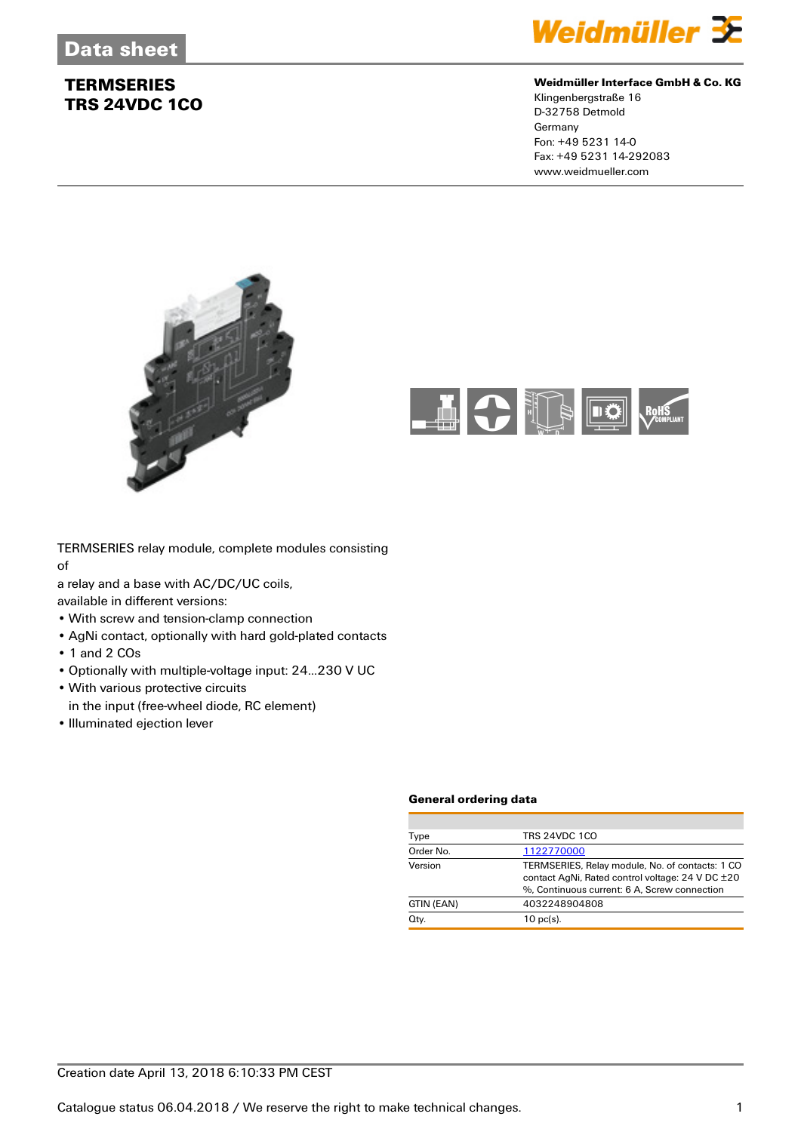

### **Weidmüller Interface GmbH & Co. KG**

Klingenbergstraße 16 D-32758 Detmold Germany Fon: +49 5231 14-0 Fax: +49 5231 14-292083 www.weidmueller.com





TERMSERIES relay module, complete modules consisting of

a relay and a base with AC/DC/UC coils,

available in different versions:

- With screw and tension-clamp connection
- AgNi contact, optionally with hard gold-plated contacts
- 1 and 2 COs
- Optionally with multiple-voltage input: 24...230 V UC
- With various protective circuits
- in the input (free-wheel diode, RC element)
- Illuminated ejection lever

#### **General ordering data**

| TRS 24VDC 1CO<br>Type<br>Order No.<br>1122770000                                                                                                               |
|----------------------------------------------------------------------------------------------------------------------------------------------------------------|
|                                                                                                                                                                |
|                                                                                                                                                                |
| Version<br>TERMSERIES, Relay module, No. of contacts: 1 CO<br>contact AgNi, Rated control voltage: 24 V DC ±20<br>%. Continuous current: 6 A. Screw connection |
| 4032248904808<br>GTIN (EAN)                                                                                                                                    |
| Qty.<br>$10$ pc(s).                                                                                                                                            |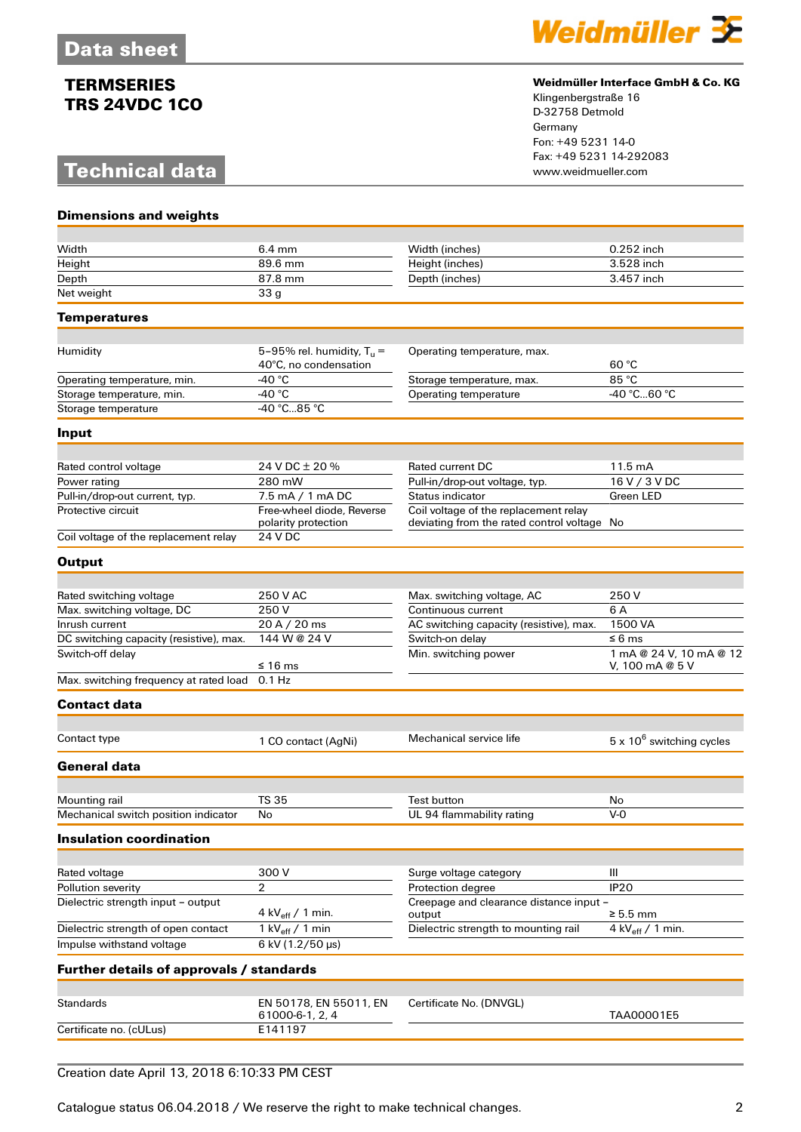# **Technical data**



### **Weidmüller Interface GmbH & Co. KG**

Klingenbergstraße 16 D-32758 Detmold Germany Fon: +49 5231 14-0 Fax: +49 5231 14-292083

| <b>Dimensions and weights</b>                 |                                                       |                                                                                      |                                            |
|-----------------------------------------------|-------------------------------------------------------|--------------------------------------------------------------------------------------|--------------------------------------------|
| Width                                         | $6.4 \text{ mm}$                                      |                                                                                      | 0.252 inch                                 |
| Height                                        | 89.6 mm                                               | Width (inches)<br>Height (inches)                                                    | 3.528 inch                                 |
| Depth                                         | 87.8 mm                                               | Depth (inches)                                                                       | 3.457 inch                                 |
| Net weight                                    | 33 <sub>g</sub>                                       |                                                                                      |                                            |
|                                               |                                                       |                                                                                      |                                            |
| <b>Temperatures</b>                           |                                                       |                                                                                      |                                            |
|                                               |                                                       |                                                                                      |                                            |
| Humidity                                      | 5-95% rel. humidity, $T_u =$<br>40°C, no condensation | Operating temperature, max.                                                          | 60 °C                                      |
| Operating temperature, min.                   | -40 $^{\circ}$ C                                      | Storage temperature, max.                                                            | 85 °C                                      |
| Storage temperature, min.                     | -40 $^{\circ}$ C                                      | Operating temperature                                                                | -40 °C60 °C                                |
| Storage temperature                           | 40 °C85 °C                                            |                                                                                      |                                            |
| Input                                         |                                                       |                                                                                      |                                            |
|                                               |                                                       |                                                                                      |                                            |
| Rated control voltage                         | 24 V DC ± 20 %                                        | Rated current DC                                                                     | 11.5 mA                                    |
| Power rating                                  | 280 mW                                                | Pull-in/drop-out voltage, typ.                                                       | 16 V / 3 V DC                              |
| Pull-in/drop-out current, typ.                | 7.5 mA / 1 mA DC                                      | <b>Status indicator</b>                                                              | Green LED                                  |
| Protective circuit                            | Free-wheel diode, Reverse<br>polarity protection      | Coil voltage of the replacement relay<br>deviating from the rated control voltage No |                                            |
| Coil voltage of the replacement relay         | 24 V DC                                               |                                                                                      |                                            |
| <b>Output</b>                                 |                                                       |                                                                                      |                                            |
|                                               |                                                       |                                                                                      |                                            |
| Rated switching voltage                       | 250 V AC<br>250V                                      | Max. switching voltage, AC<br>Continuous current                                     | 250 V<br>6 A                               |
| Max. switching voltage, DC<br>Inrush current  | 20 A / 20 ms                                          |                                                                                      | 1500 VA                                    |
| DC switching capacity (resistive), max.       | 144 W @ 24 V                                          | AC switching capacity (resistive), max.<br>Switch-on delay                           | $\leq 6$ ms                                |
| Switch-off delay                              | ≤ 16 ms                                               | Min. switching power                                                                 | 1 mA @ 24 V, 10 mA @ 12<br>V, 100 mA @ 5 V |
| Max. switching frequency at rated load 0.1 Hz |                                                       |                                                                                      |                                            |
| <b>Contact data</b>                           |                                                       |                                                                                      |                                            |
|                                               |                                                       |                                                                                      |                                            |
| Contact type                                  | 1 CO contact (AgNi)                                   | Mechanical service life                                                              | $5 \times 10^6$ switching cycles           |
| General data                                  |                                                       |                                                                                      |                                            |
|                                               |                                                       |                                                                                      |                                            |
| Mounting rail                                 | <b>TS 35</b>                                          | <b>Test button</b>                                                                   | No<br>V-0                                  |
| Mechanical switch position indicator          | No                                                    | UL 94 flammability rating                                                            |                                            |
| <b>Insulation coordination</b>                |                                                       |                                                                                      |                                            |
| Rated voltage                                 | 300V                                                  | Surge voltage category                                                               | Ш                                          |
| Pollution severity                            | $\overline{2}$                                        | Protection degree                                                                    | IP <sub>20</sub>                           |
| Dielectric strength input - output            | 4 kV $_{\rm eff}$ / 1 min.                            | Creepage and clearance distance input -<br>output                                    | $\geq 5.5$ mm                              |
| Dielectric strength of open contact           | 1 kV $_{\text{eff}}$ / 1 min                          | Dielectric strength to mounting rail                                                 | 4 kV $_{\text{eff}}$ / 1 min.              |
| Impulse withstand voltage                     | 6 kV (1.2/50 µs)                                      |                                                                                      |                                            |
| Further details of approvals / standards      |                                                       |                                                                                      |                                            |
|                                               |                                                       |                                                                                      |                                            |
| <b>Standards</b>                              | EN 50178, EN 55011, EN<br>61000-6-1, 2, 4             | Certificate No. (DNVGL)                                                              | TAA00001E5                                 |
|                                               |                                                       |                                                                                      |                                            |

## Creation date April 13, 2018 6:10:33 PM CEST

Catalogue status 06.04.2018 / We reserve the right to make technical changes. 2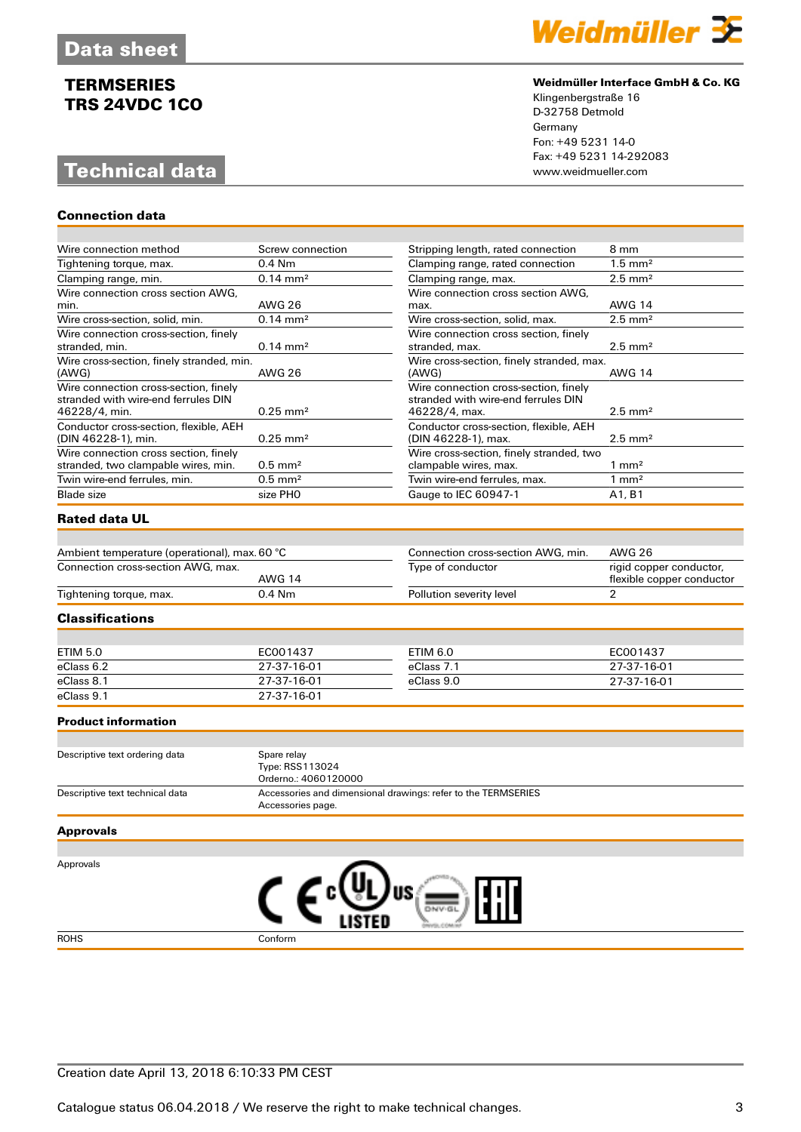# **Technical data**

**Connection data**



#### **Weidmüller Interface GmbH & Co. KG**

Klingenbergstraße 16 D-32758 Detmold Germany Fon: +49 5231 14-0 Fax: +49 5231 14-292083

| Wire connection method                                                                        | Screw connection      | Stripping length, rated connection<br>8 mm                                                    |                                                      |
|-----------------------------------------------------------------------------------------------|-----------------------|-----------------------------------------------------------------------------------------------|------------------------------------------------------|
| Tightening torque, max.                                                                       | $0.4$ Nm              | $1.5$ mm <sup>2</sup><br>Clamping range, rated connection                                     |                                                      |
| Clamping range, min.                                                                          | $0.14 \, \text{mm}^2$ | Clamping range, max.                                                                          | $2.5$ mm <sup>2</sup>                                |
| Wire connection cross section AWG,<br>min.                                                    | <b>AWG 26</b>         | Wire connection cross section AWG,<br>max.                                                    | <b>AWG 14</b>                                        |
| Wire cross-section, solid, min.                                                               | $0.14 \text{ mm}^2$   | Wire cross-section, solid, max.<br>$2.5$ mm <sup>2</sup>                                      |                                                      |
| Wire connection cross-section, finely<br>stranded, min.                                       | $0.14 \, \text{mm}^2$ | Wire connection cross section, finely<br>stranded, max.<br>$2.5$ mm <sup>2</sup>              |                                                      |
| Wire cross-section, finely stranded, min.<br>(AWG)                                            | <b>AWG 26</b>         | Wire cross-section, finely stranded, max.<br>(AWG)                                            | <b>AWG 14</b>                                        |
| Wire connection cross-section, finely<br>stranded with wire-end ferrules DIN<br>46228/4, min. | $0.25 \, \text{mm}^2$ | Wire connection cross-section, finely<br>stranded with wire-end ferrules DIN<br>46228/4, max. | $2.5$ mm <sup>2</sup>                                |
| Conductor cross-section, flexible, AEH<br>(DIN 46228-1), min.                                 | $0.25 \, \text{mm}^2$ | Conductor cross-section, flexible, AEH<br>(DIN 46228-1), max.                                 | $2.5$ mm <sup>2</sup>                                |
| Wire connection cross section, finely<br>stranded, two clampable wires, min.                  | $0.5$ mm <sup>2</sup> | Wire cross-section, finely stranded, two<br>clampable wires, max.                             | $1 \text{ mm}^2$                                     |
| Twin wire-end ferrules, min.                                                                  | $0.5$ mm <sup>2</sup> | Twin wire-end ferrules, max.                                                                  | $1 \text{ mm}^2$                                     |
| <b>Blade</b> size                                                                             | size PHO              | Gauge to IEC 60947-1                                                                          | A <sub>1</sub> , B <sub>1</sub>                      |
| <b>Rated data UL</b>                                                                          |                       |                                                                                               |                                                      |
|                                                                                               |                       |                                                                                               |                                                      |
| Ambient temperature (operational), max. 60 °C                                                 |                       | Connection cross-section AWG, min.                                                            | <b>AWG 26</b>                                        |
| Connection cross-section AWG, max.                                                            | <b>AWG 14</b>         | Type of conductor                                                                             | rigid copper conductor,<br>flexible copper conductor |
| Tightening torque, max.                                                                       | 0.4 Nm                | Pollution severity level                                                                      | $\overline{2}$                                       |
| Classifications                                                                               |                       |                                                                                               |                                                      |

| ETIM 5.0   | EC001437    | ETIM 6.0   | EC001437    |
|------------|-------------|------------|-------------|
| eClass 6.2 | 27-37-16-01 | eClass 7.1 | 27-37-16-01 |
| eClass 8.1 | 27-37-16-01 | eClass 9.0 | 27-37-16-01 |
| eClass 9.1 | 27-37-16-01 |            |             |

#### **Product information**

| Descriptive text ordering data  | Spare relay                                                   |
|---------------------------------|---------------------------------------------------------------|
|                                 | Type: RSS113024                                               |
|                                 | Orderno.: 4060120000                                          |
| Descriptive text technical data | Accessories and dimensional drawings: refer to the TERMSERIES |
|                                 | Accessories page.                                             |

#### **Approvals**

Approvals



## Creation date April 13, 2018 6:10:33 PM CEST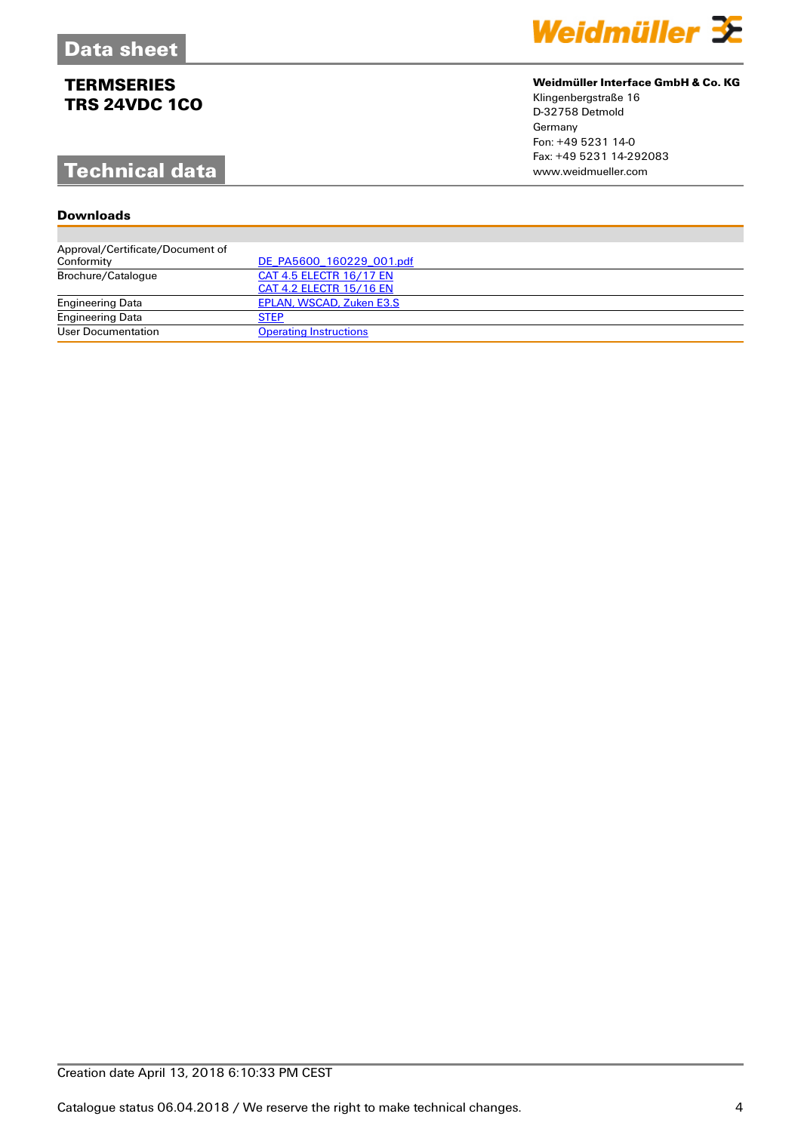# **Technical data**

## **Downloads**

| <b>Downloads</b>                 |                               |
|----------------------------------|-------------------------------|
|                                  |                               |
| Approval/Certificate/Document of |                               |
| Conformity                       | DE PA5600 160229 001.pdf      |
| Brochure/Catalogue               | CAT 4.5 ELECTR 16/17 EN       |
|                                  | CAT 4.2 ELECTR 15/16 EN       |
| <b>Engineering Data</b>          | EPLAN, WSCAD, Zuken E3.S      |
| <b>Engineering Data</b>          | <b>STEP</b>                   |
| User Documentation               | <b>Operating Instructions</b> |



### **Weidmüller Interface GmbH & Co. KG**

Klingenbergstraße 16 D-32758 Detmold Germany Fon: +49 5231 14-0 Fax: +49 5231 14-292083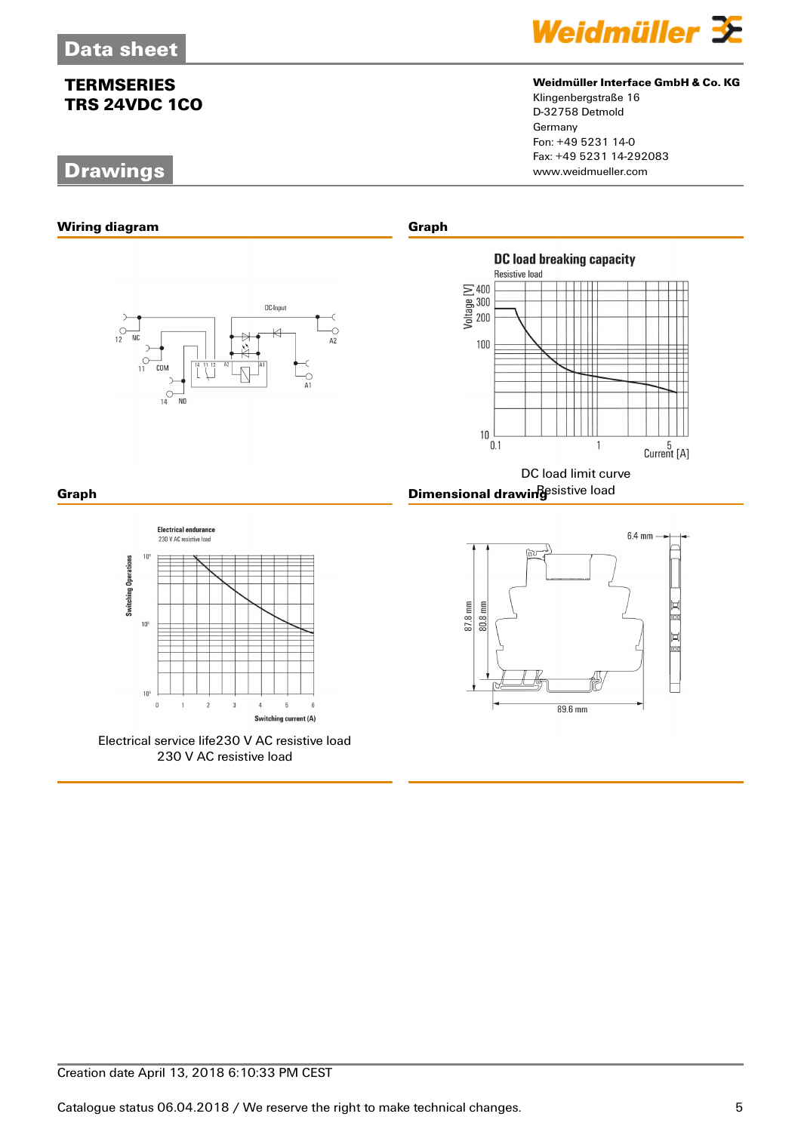# **Drawings**



## **Weidmüller Interface GmbH & Co. KG**

Klingenbergstraße 16 D-32758 Detmold Germany Fon: +49 5231 14-0 Fax: +49 5231 14-292083